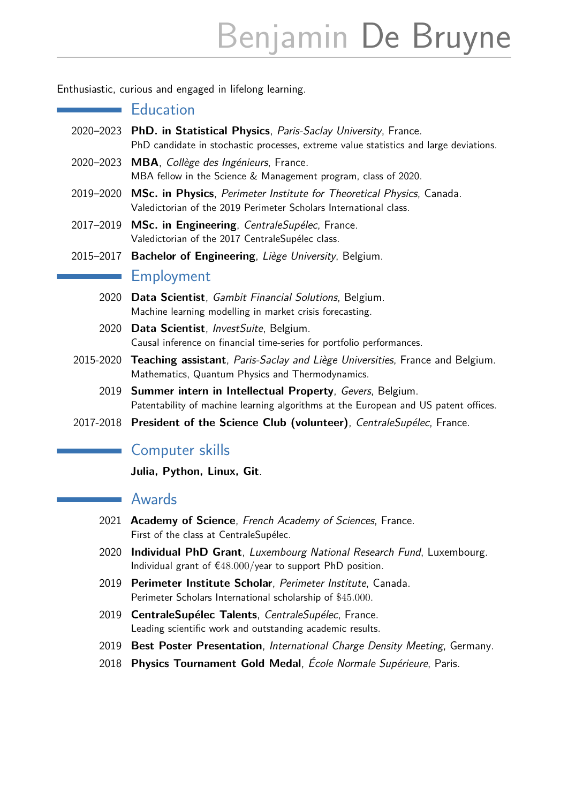# Benjamin De Bruyne

Enthusiastic, curious and engaged in lifelong learning.

### **Education**

- 2020–2023 **PhD. in Statistical Physics**, Paris-Saclay University, France. PhD candidate in stochastic processes, extreme value statistics and large deviations.
- 2020–2023 **MBA**, Collège des Ingénieurs, France. MBA fellow in the Science & Management program, class of 2020.
- 2019–2020 **MSc. in Physics**, Perimeter Institute for Theoretical Physics, Canada. Valedictorian of the 2019 Perimeter Scholars International class.
- 2017–2019 **MSc. in Engineering**, CentraleSupélec, France. Valedictorian of the 2017 CentraleSupélec class.
- 2015–2017 **Bachelor of Engineering**, Liège University, Belgium.

#### **Employment**

- 2020 **Data Scientist**, Gambit Financial Solutions, Belgium. Machine learning modelling in market crisis forecasting.
- 2020 **Data Scientist**, InvestSuite, Belgium. Causal inference on financial time-series for portfolio performances.
- 2015-2020 **Teaching assistant**, Paris-Saclay and Liège Universities, France and Belgium. Mathematics, Quantum Physics and Thermodynamics.
	- 2019 **Summer intern in Intellectual Property**, Gevers, Belgium. Patentability of machine learning algorithms at the European and US patent offices.
- 2017-2018 **President of the Science Club (volunteer)**, CentraleSupélec, France.

## Computer skills

**Julia, Python, Linux, Git**.

## Awards

 $\sim$ 

- 2021 **Academy of Science**, French Academy of Sciences, France. First of the class at CentraleSupélec.
- 2020 **Individual PhD Grant**, Luxembourg National Research Fund, Luxembourg. Individual grant of €48*.*000/year to support PhD position.
- 2019 **Perimeter Institute Scholar**, Perimeter Institute, Canada. Perimeter Scholars International scholarship of \$45*.*000.
- 2019 **CentraleSupélec Talents**, CentraleSupélec, France. Leading scientific work and outstanding academic results.
- 2019 **Best Poster Presentation**, International Charge Density Meeting, Germany.
- 2018 **Physics Tournament Gold Medal**, École Normale Supérieure, Paris.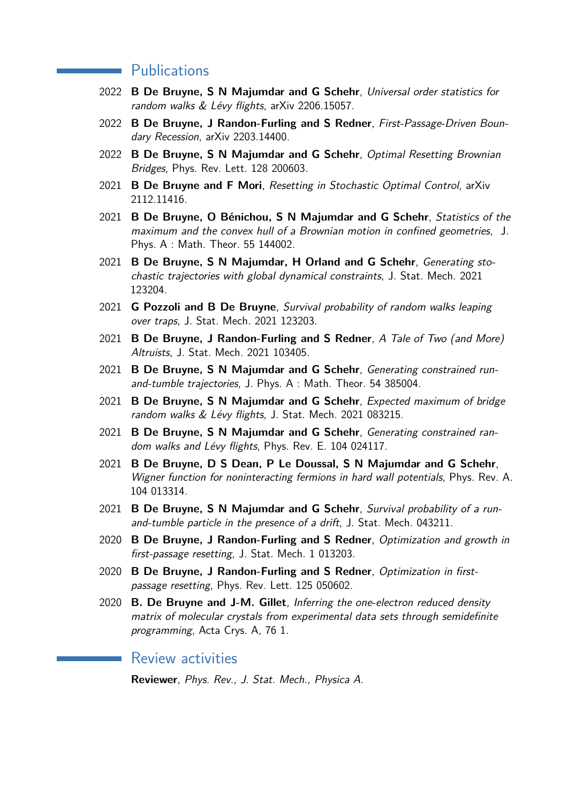#### **Publications**

- 2022 **B De Bruyne, S N Majumdar and G Schehr**, Universal order statistics for random walks & Lévy flights, arXiv 2206.15057.
- 2022 **B De Bruyne, J Randon-Furling and S Redner**, First-Passage-Driven Boundary Recession, arXiv 2203.14400.
- 2022 **B De Bruyne, S N Majumdar and G Schehr**, Optimal Resetting Brownian Bridges, Phys. Rev. Lett. 128 200603.
- 2021 **B De Bruyne and F Mori**, Resetting in Stochastic Optimal Control, arXiv 2112.11416.
- 2021 **B De Bruyne, O Bénichou, S N Majumdar and G Schehr**, Statistics of the maximum and the convex hull of a Brownian motion in confined geometries, J. Phys. A : Math. Theor. 55 144002.
- 2021 **B De Bruyne, S N Majumdar, H Orland and G Schehr**, Generating stochastic trajectories with global dynamical constraints, J. Stat. Mech. 2021 123204.
- 2021 **G Pozzoli and B De Bruyne**, Survival probability of random walks leaping over traps, J. Stat. Mech. 2021 123203.
- 2021 **B De Bruyne, J Randon-Furling and S Redner**, A Tale of Two (and More) Altruists, J. Stat. Mech. 2021 103405.
- 2021 **B De Bruyne, S N Majumdar and G Schehr**, Generating constrained runand-tumble trajectories, J. Phys. A : Math. Theor. 54 385004.
- 2021 **B De Bruyne, S N Majumdar and G Schehr**, Expected maximum of bridge random walks & Lévy flights, J. Stat. Mech. 2021 083215.
- 2021 **B De Bruyne, S N Majumdar and G Schehr**, Generating constrained random walks and Lévy flights, Phys. Rev. E. 104 024117.
- 2021 **B De Bruyne, D S Dean, P Le Doussal, S N Majumdar and G Schehr**, Wigner function for noninteracting fermions in hard wall potentials, Phys. Rev. A. 104 013314.
- 2021 **B De Bruyne, S N Majumdar and G Schehr**, Survival probability of a runand-tumble particle in the presence of a drift, J. Stat. Mech. 043211.
- 2020 **B De Bruyne, J Randon-Furling and S Redner**, Optimization and growth in first-passage resetting, J. Stat. Mech. 1 013203.
- 2020 **B De Bruyne, J Randon-Furling and S Redner**, Optimization in firstpassage resetting, Phys. Rev. Lett. 125 050602.
- 2020 **B. De Bruyne and J-M. Gillet**, Inferring the one-electron reduced density matrix of molecular crystals from experimental data sets through semidefinite programming, Acta Crys. A, 76 1.

#### Review activities

**Reviewer**, Phys. Rev., J. Stat. Mech., Physica A.